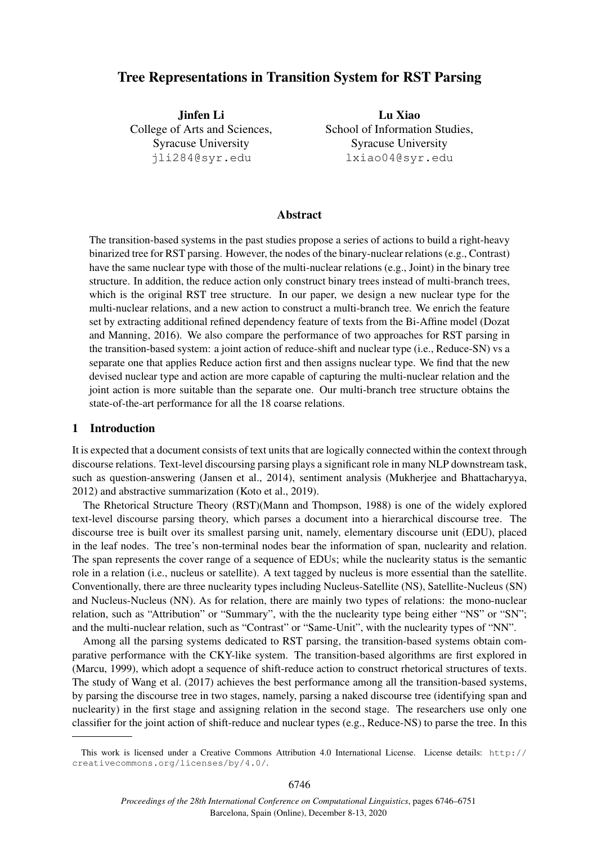# Tree Representations in Transition System for RST Parsing

Jinfen Li College of Arts and Sciences, Syracuse University jli284@syr.edu

Lu Xiao School of Information Studies, Syracuse University lxiao04@syr.edu

## Abstract

The transition-based systems in the past studies propose a series of actions to build a right-heavy binarized tree for RST parsing. However, the nodes of the binary-nuclear relations (e.g., Contrast) have the same nuclear type with those of the multi-nuclear relations (e.g., Joint) in the binary tree structure. In addition, the reduce action only construct binary trees instead of multi-branch trees, which is the original RST tree structure. In our paper, we design a new nuclear type for the multi-nuclear relations, and a new action to construct a multi-branch tree. We enrich the feature set by extracting additional refined dependency feature of texts from the Bi-Affine model (Dozat and Manning, 2016). We also compare the performance of two approaches for RST parsing in the transition-based system: a joint action of reduce-shift and nuclear type (i.e., Reduce-SN) vs a separate one that applies Reduce action first and then assigns nuclear type. We find that the new devised nuclear type and action are more capable of capturing the multi-nuclear relation and the joint action is more suitable than the separate one. Our multi-branch tree structure obtains the state-of-the-art performance for all the 18 coarse relations.

#### 1 Introduction

It is expected that a document consists of text units that are logically connected within the context through discourse relations. Text-level discoursing parsing plays a significant role in many NLP downstream task, such as question-answering (Jansen et al., 2014), sentiment analysis (Mukherjee and Bhattacharyya, 2012) and abstractive summarization (Koto et al., 2019).

The Rhetorical Structure Theory (RST)(Mann and Thompson, 1988) is one of the widely explored text-level discourse parsing theory, which parses a document into a hierarchical discourse tree. The discourse tree is built over its smallest parsing unit, namely, elementary discourse unit (EDU), placed in the leaf nodes. The tree's non-terminal nodes bear the information of span, nuclearity and relation. The span represents the cover range of a sequence of EDUs; while the nuclearity status is the semantic role in a relation (i.e., nucleus or satellite). A text tagged by nucleus is more essential than the satellite. Conventionally, there are three nuclearity types including Nucleus-Satellite (NS), Satellite-Nucleus (SN) and Nucleus-Nucleus (NN). As for relation, there are mainly two types of relations: the mono-nuclear relation, such as "Attribution" or "Summary", with the the nuclearity type being either "NS" or "SN"; and the multi-nuclear relation, such as "Contrast" or "Same-Unit", with the nuclearity types of "NN".

Among all the parsing systems dedicated to RST parsing, the transition-based systems obtain comparative performance with the CKY-like system. The transition-based algorithms are first explored in (Marcu, 1999), which adopt a sequence of shift-reduce action to construct rhetorical structures of texts. The study of Wang et al. (2017) achieves the best performance among all the transition-based systems, by parsing the discourse tree in two stages, namely, parsing a naked discourse tree (identifying span and nuclearity) in the first stage and assigning relation in the second stage. The researchers use only one classifier for the joint action of shift-reduce and nuclear types (e.g., Reduce-NS) to parse the tree. In this

This work is licensed under a Creative Commons Attribution 4.0 International License. License details: http:// creativecommons.org/licenses/by/4.0/.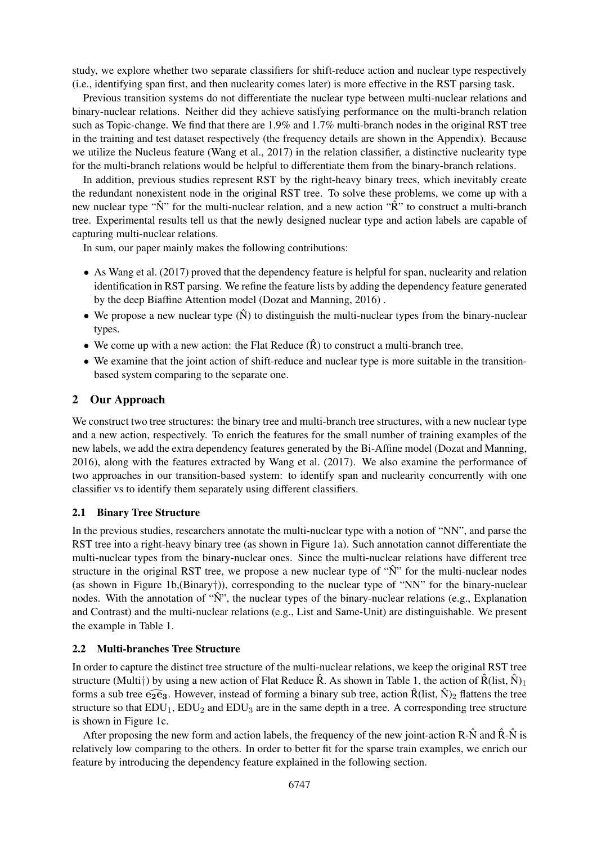study, we explore whether two separate classifiers for shift-reduce action and nuclear type respectively (i.e., identifying span first, and then nuclearity comes later) is more effective in the RST parsing task.

Previous transition systems do not differentiate the nuclear type between multi-nuclear relations and binary-nuclear relations. Neither did they achieve satisfying performance on the multi-branch relation such as Topic-change. We find that there are 1.9% and 1.7% multi-branch nodes in the original RST tree in the training and test dataset respectively (the frequency details are shown in the Appendix). Because we utilize the Nucleus feature (Wang et al., 2017) in the relation classifier, a distinctive nuclearity type for the multi-branch relations would be helpful to differentiate them from the binary-branch relations.

In addition, previous studies represent RST by the right-heavy binary trees, which inevitably create the redundant nonexistent node in the original RST tree. To solve these problems, we come up with a new nuclear type " $\hat{N}$ " for the multi-nuclear relation, and a new action " $\hat{R}$ " to construct a multi-branch tree. Experimental results tell us that the newly designed nuclear type and action labels are capable of capturing multi-nuclear relations.

In sum, our paper mainly makes the following contributions:

- As Wang et al. (2017) proved that the dependency feature is helpful for span, nuclearity and relation identification in RST parsing. We refine the feature lists by adding the dependency feature generated by the deep Biaffine Attention model (Dozat and Manning, 2016) .
- We propose a new nuclear type  $(\hat{N})$  to distinguish the multi-nuclear types from the binary-nuclear types.
- We come up with a new action: the Flat Reduce  $(\hat{R})$  to construct a multi-branch tree.
- We examine that the joint action of shift-reduce and nuclear type is more suitable in the transitionbased system comparing to the separate one.

# 2 Our Approach

We construct two tree structures: the binary tree and multi-branch tree structures, with a new nuclear type and a new action, respectively. To enrich the features for the small number of training examples of the new labels, we add the extra dependency features generated by the Bi-Affine model (Dozat and Manning, 2016), along with the features extracted by Wang et al. (2017). We also examine the performance of two approaches in our transition-based system: to identify span and nuclearity concurrently with one classifier vs to identify them separately using different classifiers.

#### 2.1 Binary Tree Structure

In the previous studies, researchers annotate the multi-nuclear type with a notion of "NN", and parse the RST tree into a right-heavy binary tree (as shown in Figure 1a). Such annotation cannot differentiate the multi-nuclear types from the binary-nuclear ones. Since the multi-nuclear relations have different tree structure in the original RST tree, we propose a new nuclear type of " $\hat{N}$ " for the multi-nuclear nodes (as shown in Figure 1b,(Binary†)), corresponding to the nuclear type of "NN" for the binary-nuclear nodes. With the annotation of " $\hat{N}$ ", the nuclear types of the binary-nuclear relations (e.g., Explanation and Contrast) and the multi-nuclear relations (e.g., List and Same-Unit) are distinguishable. We present the example in Table 1.

#### 2.2 Multi-branches Tree Structure

In order to capture the distinct tree structure of the multi-nuclear relations, we keep the original RST tree structure (Multi†) by using a new action of Flat Reduce  $\hat{R}$ . As shown in Table 1, the action of  $\hat{R}$ (list,  $\hat{N}$ )<sub>1</sub> forms a sub tree  $\widehat{e_2e_3}$ . However, instead of forming a binary sub tree, action  $\widehat{R}$ (list,  $\widehat{N}$ )<sub>2</sub> flattens the tree structure so that  $EDU_1$ ,  $EDU_2$  and  $EDU_3$  are in the same depth in a tree. A corresponding tree structure is shown in Figure 1c.

After proposing the new form and action labels, the frequency of the new joint-action R- $\hat{N}$  and  $\hat{R}-\hat{N}$  is relatively low comparing to the others. In order to better fit for the sparse train examples, we enrich our feature by introducing the dependency feature explained in the following section.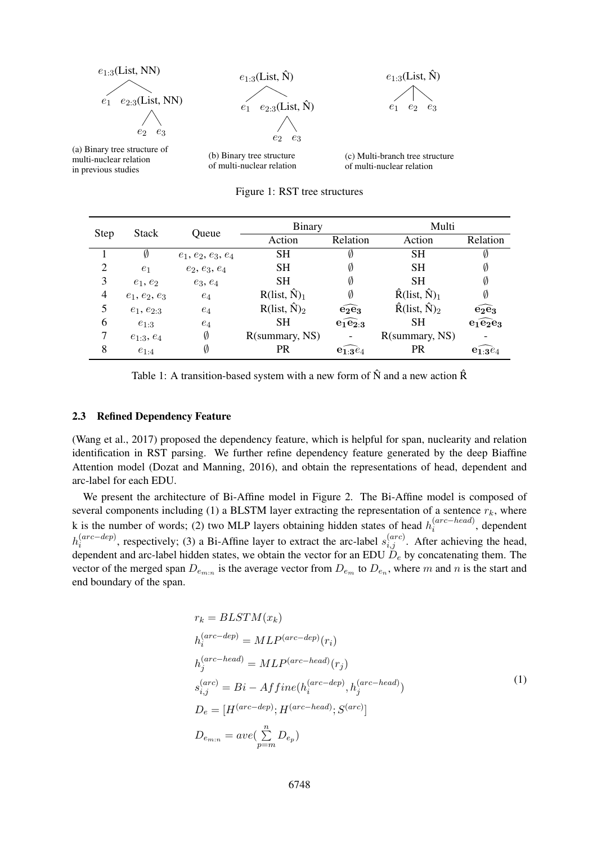

(a) Binary tree structure of multi-nuclear relation in previous studies

(b) Binary tree structure of multi-nuclear relation

(c) Multi-branch tree structure of multi-nuclear relation

Figure 1: RST tree structures

| <b>Step</b>    | Stack           | Oueue                | <b>Binary</b>        |                                      | Multi                                     |                                      |  |
|----------------|-----------------|----------------------|----------------------|--------------------------------------|-------------------------------------------|--------------------------------------|--|
|                |                 |                      | Action               | Relation                             | Action                                    | Relation                             |  |
|                | Ø               | $e_1, e_2, e_3, e_4$ | <b>SH</b>            |                                      | <b>SH</b>                                 | Ø                                    |  |
| $\overline{2}$ | e <sub>1</sub>  | $e_2, e_3, e_4$      | <b>SH</b>            | Ø                                    | <b>SH</b>                                 | Ø                                    |  |
| 3              | $e_1, e_2$      | $e_3, e_4$           | <b>SH</b>            | Ø                                    | <b>SH</b>                                 | Ø                                    |  |
| 4              | $e_1, e_2, e_3$ | $e_4$                | $R(list, \hat{N})_1$ | Ø                                    | $\hat{R}$ (list, $\hat{N}$ ) <sub>1</sub> | Ø                                    |  |
| 5              | $e_1, e_{2:3}$  | $e_4$                | $R(list, \hat{N})_2$ | $\widehat{\mathbf{e}_2\mathbf{e}_3}$ | $\hat{R}$ (list, $\hat{N}_2$ )            | $\widehat{\mathbf{e}_2\mathbf{e}_3}$ |  |
| 6              | $e_{1:3}$       | $e_4$                | <b>SH</b>            | $\widehat{e_1e_2}$                   | SН                                        | $e_1 \widehat{e_2} e_3$              |  |
| 7              | $e_{1:3}, e_4$  | Ø                    | R(summary, NS)       |                                      | R(summary, NS)                            |                                      |  |
| 8              | $e_{1:4}$       | Ø                    | <b>PR</b>            | $e_{1:3}e_4$                         | <b>PR</b>                                 | $e_{1:3}e_4$                         |  |

Table 1: A transition-based system with a new form of  $\hat{N}$  and a new action  $\hat{R}$ 

#### 2.3 Refined Dependency Feature

(Wang et al., 2017) proposed the dependency feature, which is helpful for span, nuclearity and relation identification in RST parsing. We further refine dependency feature generated by the deep Biaffine Attention model (Dozat and Manning, 2016), and obtain the representations of head, dependent and arc-label for each EDU.

We present the architecture of Bi-Affine model in Figure 2. The Bi-Affine model is composed of several components including (1) a BLSTM layer extracting the representation of a sentence  $r_k$ , where k is the number of words; (2) two MLP layers obtaining hidden states of head  $h_i^{(arc-head)}$  $\binom{(arc-mean)}{i}$ , dependent  $h_i^{(arc-dep)}$  $\hat{i}^{(arc-dep)}$ , respectively; (3) a Bi-Affine layer to extract the arc-label  $s_{i,j}^{(arc)}$ . After achieving the head, dependent and arc-label hidden states, we obtain the vector for an EDU  $D_e$  by concatenating them. The vector of the merged span  $D_{e_{m:n}}$  is the average vector from  $D_{e_m}$  to  $D_{e_n}$ , where m and n is the start and end boundary of the span.

$$
r_k = BLSTM(x_k)
$$
  
\n
$$
h_i^{(arc-dep)} = MLP^{(arc-dep)}(r_i)
$$
  
\n
$$
h_j^{(arc-head)} = MLP^{(arc-head)}(r_j)
$$
  
\n
$$
s_{i,j}^{(arc)} = Bi - Affine(h_i^{(arc-dep)}, h_j^{(arc-head)})
$$
  
\n
$$
D_e = [H^{(arc-dep)}; H^{(arc-head)}; S^{(arc)}]
$$
  
\n
$$
D_{e_{m:n}} = ave(\sum_{p=m}^{n} D_{e_p})
$$
\n(1)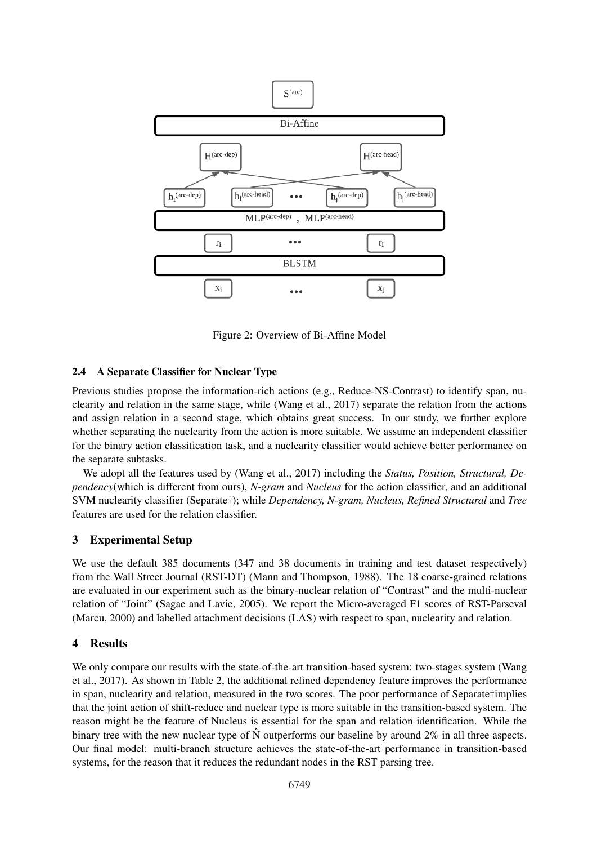

Figure 2: Overview of Bi-Affine Model

## 2.4 A Separate Classifier for Nuclear Type

Previous studies propose the information-rich actions (e.g., Reduce-NS-Contrast) to identify span, nuclearity and relation in the same stage, while (Wang et al., 2017) separate the relation from the actions and assign relation in a second stage, which obtains great success. In our study, we further explore whether separating the nuclearity from the action is more suitable. We assume an independent classifier for the binary action classification task, and a nuclearity classifier would achieve better performance on the separate subtasks.

We adopt all the features used by (Wang et al., 2017) including the *Status, Position, Structural, Dependency*(which is different from ours), *N-gram* and *Nucleus* for the action classifier, and an additional SVM nuclearity classifier (Separate†); while *Dependency, N-gram, Nucleus, Refined Structural* and *Tree* features are used for the relation classifier.

## 3 Experimental Setup

We use the default 385 documents (347 and 38 documents in training and test dataset respectively) from the Wall Street Journal (RST-DT) (Mann and Thompson, 1988). The 18 coarse-grained relations are evaluated in our experiment such as the binary-nuclear relation of "Contrast" and the multi-nuclear relation of "Joint" (Sagae and Lavie, 2005). We report the Micro-averaged F1 scores of RST-Parseval (Marcu, 2000) and labelled attachment decisions (LAS) with respect to span, nuclearity and relation.

#### 4 Results

We only compare our results with the state-of-the-art transition-based system: two-stages system (Wang et al., 2017). As shown in Table 2, the additional refined dependency feature improves the performance in span, nuclearity and relation, measured in the two scores. The poor performance of Separate†implies that the joint action of shift-reduce and nuclear type is more suitable in the transition-based system. The reason might be the feature of Nucleus is essential for the span and relation identification. While the binary tree with the new nuclear type of  $\hat{N}$  outperforms our baseline by around  $2\%$  in all three aspects. Our final model: multi-branch structure achieves the state-of-the-art performance in transition-based systems, for the reason that it reduces the redundant nodes in the RST parsing tree.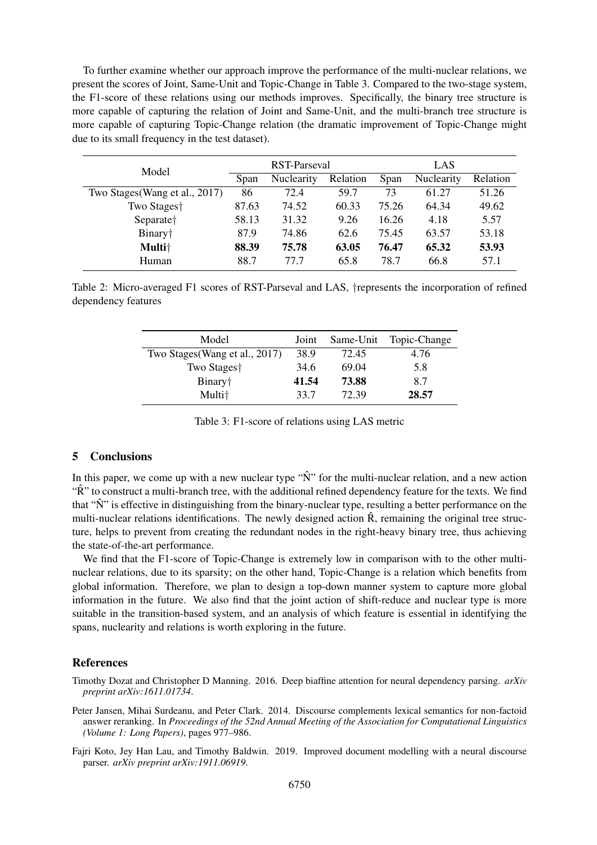To further examine whether our approach improve the performance of the multi-nuclear relations, we present the scores of Joint, Same-Unit and Topic-Change in Table 3. Compared to the two-stage system, the F1-score of these relations using our methods improves. Specifically, the binary tree structure is more capable of capturing the relation of Joint and Same-Unit, and the multi-branch tree structure is more capable of capturing Topic-Change relation (the dramatic improvement of Topic-Change might due to its small frequency in the test dataset).

| Model                          | RST-Parseval |                   |          | LAS   |            |          |
|--------------------------------|--------------|-------------------|----------|-------|------------|----------|
|                                | Span         | <b>Nuclearity</b> | Relation | Span  | Nuclearity | Relation |
| Two Stages (Wang et al., 2017) | 86           | 72.4              | 59.7     | 73    | 61.27      | 51.26    |
| Two Stages†                    | 87.63        | 74.52             | 60.33    | 75.26 | 64.34      | 49.62    |
| Separate <sup>†</sup>          | 58.13        | 31.32             | 9.26     | 16.26 | 4.18       | 5.57     |
| Binary <sup>+</sup>            | 87.9         | 74.86             | 62.6     | 75.45 | 63.57      | 53.18    |
| Multi <sup>+</sup>             | 88.39        | 75.78             | 63.05    | 76.47 | 65.32      | 53.93    |
| Human                          | 88.7         | 77 7              | 65.8     | 78.7  | 66.8       | 57.1     |

Table 2: Micro-averaged F1 scores of RST-Parseval and LAS, †represents the incorporation of refined dependency features

| Model                          | Joint | Same-Unit | Topic-Change |
|--------------------------------|-------|-----------|--------------|
| Two Stages (Wang et al., 2017) | 38.9  | 72.45     | 4.76         |
| Two Stages <sup>†</sup>        | 34.6  | 69.04     | 5.8          |
| Binary <sup>†</sup>            | 41.54 | 73.88     | 8.7          |
| Multi <sup>+</sup>             | 33.7  | 72.39     | 28.57        |

Table 3: F1-score of relations using LAS metric

## 5 Conclusions

In this paper, we come up with a new nuclear type " $\hat{N}$ " for the multi-nuclear relation, and a new action "R" to construct a multi-branch tree, with the additional refined dependency feature for the texts. We find that " $\hat{N}$ " is effective in distinguishing from the binary-nuclear type, resulting a better performance on the multi-nuclear relations identifications. The newly designed action  $\hat{R}$ , remaining the original tree structure, helps to prevent from creating the redundant nodes in the right-heavy binary tree, thus achieving the state-of-the-art performance.

We find that the F1-score of Topic-Change is extremely low in comparison with to the other multinuclear relations, due to its sparsity; on the other hand, Topic-Change is a relation which benefits from global information. Therefore, we plan to design a top-down manner system to capture more global information in the future. We also find that the joint action of shift-reduce and nuclear type is more suitable in the transition-based system, and an analysis of which feature is essential in identifying the spans, nuclearity and relations is worth exploring in the future.

#### References

Timothy Dozat and Christopher D Manning. 2016. Deep biaffine attention for neural dependency parsing. *arXiv preprint arXiv:1611.01734*.

Peter Jansen, Mihai Surdeanu, and Peter Clark. 2014. Discourse complements lexical semantics for non-factoid answer reranking. In *Proceedings of the 52nd Annual Meeting of the Association for Computational Linguistics (Volume 1: Long Papers)*, pages 977–986.

Fajri Koto, Jey Han Lau, and Timothy Baldwin. 2019. Improved document modelling with a neural discourse parser. *arXiv preprint arXiv:1911.06919*.